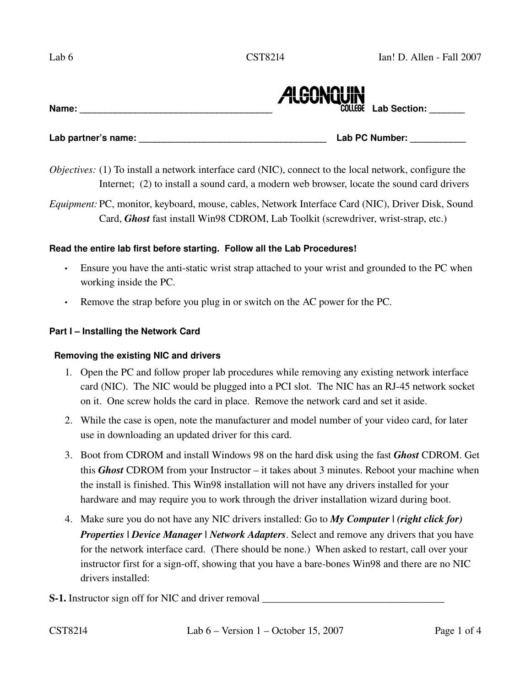

Lab partner's name: **Lab PC Number: Lab PC Number:** 

*Objectives:* (1) To install a network interface card (NIC), connect to the local network, configure the Internet; (2) to install a sound card, a modern web browser, locate the sound card drivers

*Equipment:* PC, monitor, keyboard, mouse, cables, Network Interface Card (NIC), Driver Disk, Sound Card, *Ghost* fast install Win98 CDROM, Lab Toolkit (screwdriver, wrist-strap, etc.)

### **Read the entire lab first before starting. Follow all the Lab Procedures!**

- Ensure you have the anti-static wrist strap attached to your wrist and grounded to the PC when working inside the PC.
- Remove the strap before you plug in or switch on the AC power for the PC.

### **Part I – Installing the Network Card**

### **Removing the existing NIC and drivers**

- 1. Open the PC and follow proper lab procedures while removing any existing network interface card (NIC). The NIC would be plugged into a PCI slot. The NIC has an RJ-45 network socket on it. One screw holds the card in place. Remove the network card and set it aside.
- 2. While the case is open, note the manufacturer and model number of your video card, for later use in downloading an updated driver for this card.
- 3. Boot from CDROM and install Windows 98 on the hard disk using the fast *Ghost* CDROM. Get this *Ghost* CDROM from your Instructor – it takes about 3 minutes. Reboot your machine when the install is finished. This Win98 installation will not have any drivers installed for your hardware and may require you to work through the driver installation wizard during boot.
- 4. Make sure you do not have any NIC drivers installed: Go to *My Computer | (right click for) Properties | Device Manager | Network Adapters.* **Select and remove any drivers that you have** for the network interface card. (There should be none.) When asked to restart, call over your instructor first for a sign-off, showing that you have a bare-bones Win98 and there are no NIC drivers installed:
- S-1. Instructor sign off for NIC and driver removal \_\_\_\_\_\_\_\_\_\_\_\_\_\_\_\_\_\_\_\_\_\_\_\_\_\_\_\_\_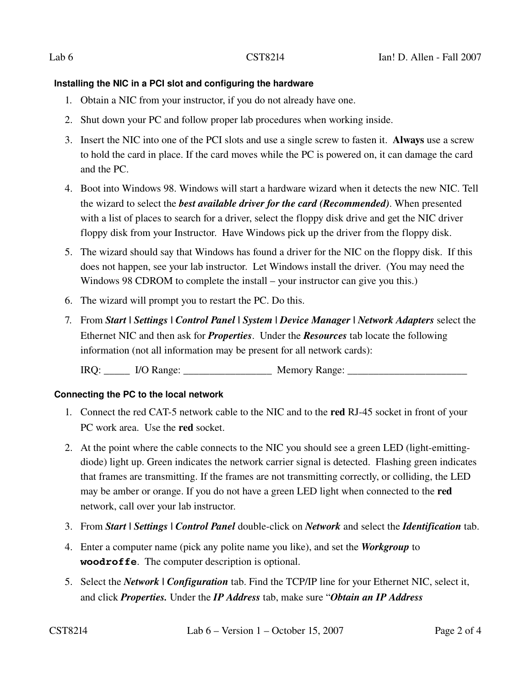# **Installing the NIC in a PCI slot and configuring the hardware**

- 1. Obtain a NIC from your instructor, if you do not already have one.
- 2. Shut down your PC and follow proper lab procedures when working inside.
- 3. Insert the NIC into one of the PCI slots and use a single screw to fasten it. Always use a screw to hold the card in place. If the card moves while the PC is powered on, it can damage the card and the PC.
- 4. Boot into Windows 98. Windows will start a hardware wizard when it detects the new NIC. Tell the wizard to select the *best available driver for the card (Recommended)*. When presented with a list of places to search for a driver, select the floppy disk drive and get the NIC driver floppy disk from your Instructor. Have Windows pick up the driver from the floppy disk.
- 5. The wizard should say that Windows has found a driver for the NIC on the floppy disk. If this does not happen, see your lab instructor. Let Windows install the driver. (You may need the Windows 98 CDROM to complete the install – your instructor can give you this.)
- 6. The wizard will prompt you to restart the PC. Do this.
- 7. From *Start | Settings | Control Panel | System | Device Manager | Network Adapters* select the Ethernet NIC and then ask for *Properties*. Under the *Resources* tab locate the following information (not all information may be present for all network cards):

IRQ: \_\_\_\_\_\_ I/O Range: \_\_\_\_\_\_\_\_\_\_\_\_\_\_\_\_\_\_\_\_\_\_\_ Memory Range: \_\_\_\_\_\_\_\_\_\_\_\_\_\_\_\_\_\_\_

# **Connecting the PC to the local network**

- 1. Connect the red CAT-5 network cable to the NIC and to the **red** RJ-45 socket in front of your PC work area. Use the red socket.
- 2. At the point where the cable connects to the NIC you should see a green LED (light-emittingdiode) light up. Green indicates the network carrier signal is detected. Flashing green indicates that frames are transmitting. If the frames are not transmitting correctly, or colliding, the LED may be amber or orange. If you do not have a green LED light when connected to the red network, call over your lab instructor.
- 3. From *Start | Settings | Control Panel* doubleclick on *Network* and select the *Identification* tab.
- 4. Enter a computer name (pick any polite name you like), and set the *Workgroup* to **woodroffe**. The computer description is optional.
- 5. Select the *Network | Configuration* tab. Find the TCP/IP line for your Ethernet NIC, select it, and click *Properties.* Under the *IP Address* tab, make sure "*Obtain an IP Address*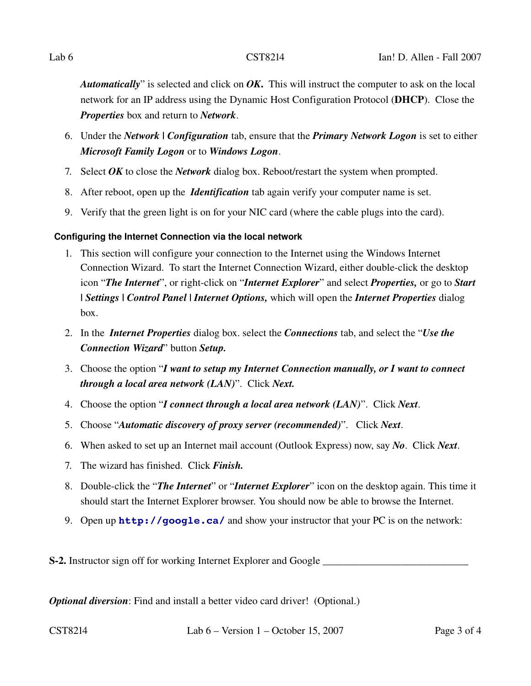*Automatically*" is selected and click on *OK*. This will instruct the computer to ask on the local network for an IP address using the Dynamic Host Configuration Protocol (DHCP). Close the *Properties* box and return to *Network*.

- 6. Under the *Network | Configuration* tab, ensure that the *Primary Network Logon* is set to either *Microsoft Family Logon* or to *Windows Logon*.
- 7. Select *OK* to close the *Network* dialog box. Reboot/restart the system when prompted.
- 8. After reboot, open up the *Identification* tab again verify your computer name is set.
- 9. Verify that the green light is on for your NIC card (where the cable plugs into the card).

# **Configuring the Internet Connection via the local network**

- 1. This section will configure your connection to the Internet using the Windows Internet Connection Wizard. To start the Internet Connection Wizard, either doubleclick the desktop icon "*The Internet*", or right-click on "*Internet Explorer*" and select *Properties*, or go to *Start | Settings | Control Panel | Internet Options,* which will open the *Internet Properties* dialog box.
- 2. In the *Internet Properties* dialog box. select the *Connections* tab, and select the "*Use the Connection Wizard*" button *Setup.*
- 3. Choose the option "*I want to setup my Internet Connection manually, or I want to connect through a local area network (LAN)*". Click *Next.*
- 4. Choose the option "*I connect through a local area network (LAN)*". Click *Next*.
- 5. Choose "*Automatic discovery of proxy server (recommended)*". Click *Next*.
- 6. When asked to set up an Internet mail account (Outlook Express) now, say *No*. Click *Next*.
- 7. The wizard has finished. Click *Finish.*
- 8. Double-click the "*The Internet*" or "*Internet Explorer*" icon on the desktop again. This time it should start the Internet Explorer browser. You should now be able to browse the Internet.
- 9. Open up **<http://google.ca/>** and show your instructor that your PC is on the network:

S2. Instructor sign off for working Internet Explorer and Google \_\_\_\_\_\_\_\_\_\_\_\_\_\_\_\_\_\_\_\_\_\_\_\_\_\_\_\_

*Optional diversion*: Find and install a better video card driver! (Optional.)